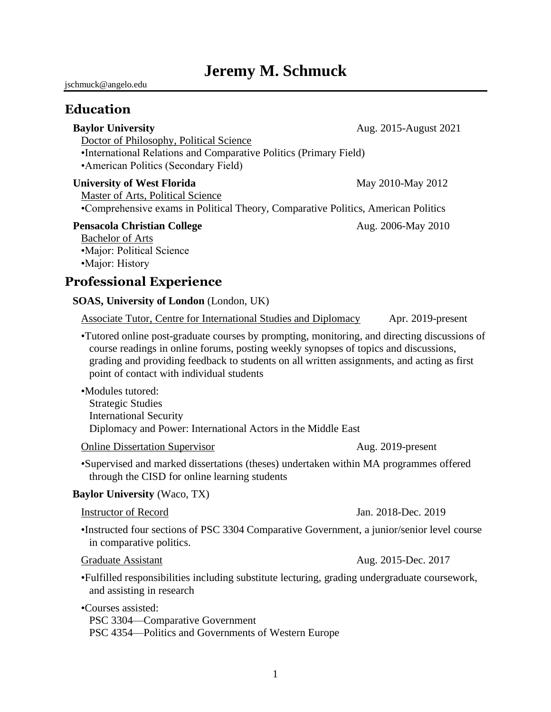# **Jeremy M. Schmuck**

jschmuck@angelo.edu

### **Education**

| <b>Baylor University</b>                                                                                   | Aug. 2015-August 2021                 |
|------------------------------------------------------------------------------------------------------------|---------------------------------------|
| Doctor of Philosophy, Political Science                                                                    |                                       |
| •International Relations and Comparative Politics (Primary Field)<br>• American Politics (Secondary Field) |                                       |
| <b>University of West Florida</b>                                                                          | May 2010-May 2012                     |
| Master of Arts, Political Science                                                                          | $\alpha$ . Due to the set of $\alpha$ |

•Comprehensive exams in Political Theory, Comparative Politics, American Politics

### **Pensacola Christian College** Aug. 2006-May 2010

Bachelor of Arts •Major: Political Science •Major: History

## **Professional Experience**

### **SOAS, University of London** (London, UK)

Associate Tutor, Centre for International Studies and Diplomacy Apr. 2019-present

•Tutored online post-graduate courses by prompting, monitoring, and directing discussions of course readings in online forums, posting weekly synopses of topics and discussions, grading and providing feedback to students on all written assignments, and acting as first point of contact with individual students

•Modules tutored: Strategic Studies International Security Diplomacy and Power: International Actors in the Middle East

Online Dissertation Supervisor Aug. 2019-present

•Supervised and marked dissertations (theses) undertaken within MA programmes offered through the CISD for online learning students

### **Baylor University** (Waco, TX)

### Instructor of Record Jan. 2018-Dec. 2019

•Instructed four sections of PSC 3304 Comparative Government, a junior/senior level course in comparative politics.

•Fulfilled responsibilities including substitute lecturing, grading undergraduate coursework, and assisting in research

•Courses assisted:

PSC 3304—Comparative Government PSC 4354—Politics and Governments of Western Europe

Graduate Assistant Aug. 2015-Dec. 2017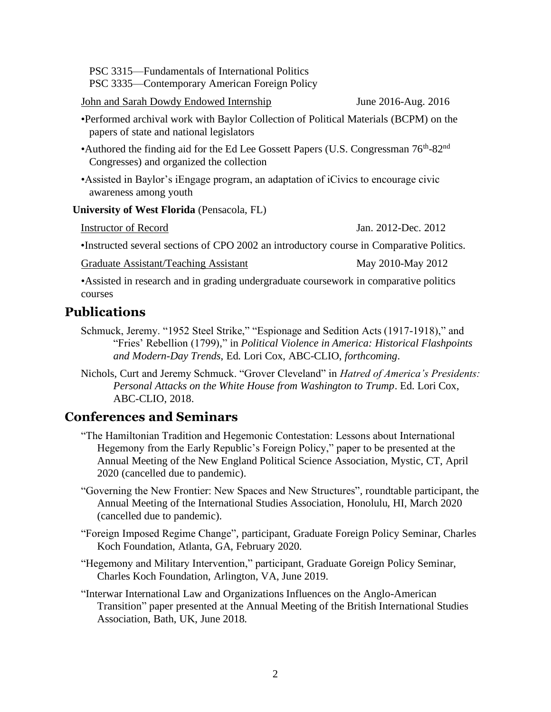PSC 3315—Fundamentals of International Politics PSC 3335—Contemporary American Foreign Policy

John and Sarah Dowdy Endowed Internship June 2016-Aug. 2016

- •Performed archival work with Baylor Collection of Political Materials (BCPM) on the papers of state and national legislators
- •Authored the finding aid for the Ed Lee Gossett Papers (U.S. Congressman 76<sup>th</sup>-82<sup>nd</sup> Congresses) and organized the collection
- •Assisted in Baylor's iEngage program, an adaptation of iCivics to encourage civic awareness among youth

### **University of West Florida** (Pensacola, FL)

| Instructor of Record | Jan. 2012-Dec. 2012 |
|----------------------|---------------------|
|----------------------|---------------------|

•Instructed several sections of CPO 2002 an introductory course in Comparative Politics.

Graduate Assistant/Teaching Assistant May 2010-May 2012

•Assisted in research and in grading undergraduate coursework in comparative politics courses

## **Publications**

- Schmuck, Jeremy. "1952 Steel Strike," "Espionage and Sedition Acts (1917-1918)," and "Fries' Rebellion (1799)," in *Political Violence in America: Historical Flashpoints and Modern-Day Trends*, Ed. Lori Cox, ABC-CLIO, *forthcoming*.
- Nichols, Curt and Jeremy Schmuck. "Grover Cleveland" in *Hatred of America's Presidents: Personal Attacks on the White House from Washington to Trump*. Ed. Lori Cox, ABC-CLIO, 2018.

## **Conferences and Seminars**

- "The Hamiltonian Tradition and Hegemonic Contestation: Lessons about International Hegemony from the Early Republic's Foreign Policy," paper to be presented at the Annual Meeting of the New England Political Science Association, Mystic, CT, April 2020 (cancelled due to pandemic).
- "Governing the New Frontier: New Spaces and New Structures", roundtable participant, the Annual Meeting of the International Studies Association, Honolulu, HI, March 2020 (cancelled due to pandemic).
- "Foreign Imposed Regime Change", participant, Graduate Foreign Policy Seminar, Charles Koch Foundation, Atlanta, GA, February 2020.
- "Hegemony and Military Intervention," participant, Graduate Goreign Policy Seminar, Charles Koch Foundation, Arlington, VA, June 2019.
- "Interwar International Law and Organizations Influences on the Anglo-American Transition" paper presented at the Annual Meeting of the British International Studies Association, Bath, UK, June 2018.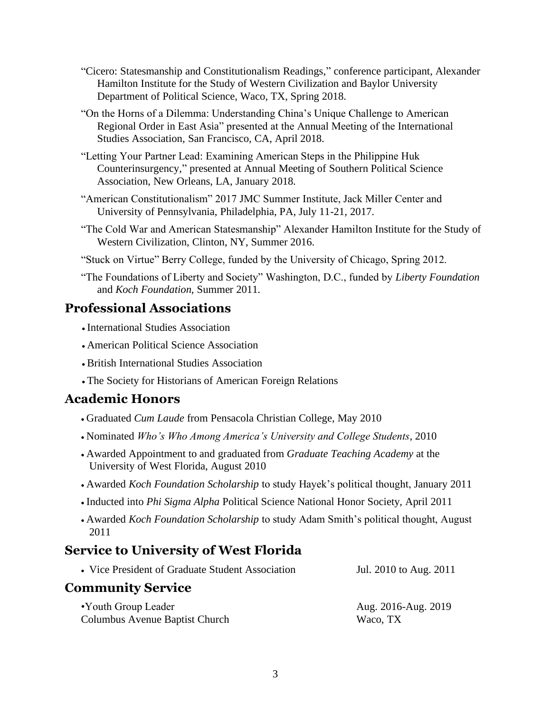- "Cicero: Statesmanship and Constitutionalism Readings," conference participant, Alexander Hamilton Institute for the Study of Western Civilization and Baylor University Department of Political Science, Waco, TX, Spring 2018.
- "On the Horns of a Dilemma: Understanding China's Unique Challenge to American Regional Order in East Asia" presented at the Annual Meeting of the International Studies Association, San Francisco, CA, April 2018.
- "Letting Your Partner Lead: Examining American Steps in the Philippine Huk Counterinsurgency," presented at Annual Meeting of Southern Political Science Association, New Orleans, LA, January 2018.
- "American Constitutionalism" 2017 JMC Summer Institute, Jack Miller Center and University of Pennsylvania, Philadelphia, PA, July 11-21, 2017.
- "The Cold War and American Statesmanship" Alexander Hamilton Institute for the Study of Western Civilization, Clinton, NY, Summer 2016.
- "Stuck on Virtue" Berry College, funded by the University of Chicago, Spring 2012.
- "The Foundations of Liberty and Society" Washington, D.C., funded by *Liberty Foundation* and *Koch Foundation*, Summer 2011.

### **Professional Associations**

- International Studies Association
- American Political Science Association
- British International Studies Association
- The Society for Historians of American Foreign Relations

## **Academic Honors**

- Graduated *Cum Laude* from Pensacola Christian College, May 2010
- Nominated *Who's Who Among America's University and College Students*, 2010
- Awarded Appointment to and graduated from *Graduate Teaching Academy* at the University of West Florida, August 2010
- Awarded *Koch Foundation Scholarship* to study Hayek's political thought, January 2011
- Inducted into *Phi Sigma Alpha* Political Science National Honor Society, April 2011
- Awarded *Koch Foundation Scholarship* to study Adam Smith's political thought, August 2011

## **Service to University of West Florida**

| • Vice President of Graduate Student Association      | Jul. 2010 to Aug. 2011          |  |
|-------------------------------------------------------|---------------------------------|--|
| <b>Community Service</b>                              |                                 |  |
| •Youth Group Leader<br>Columbus Avenue Baptist Church | Aug. 2016-Aug. 2019<br>Waco, TX |  |